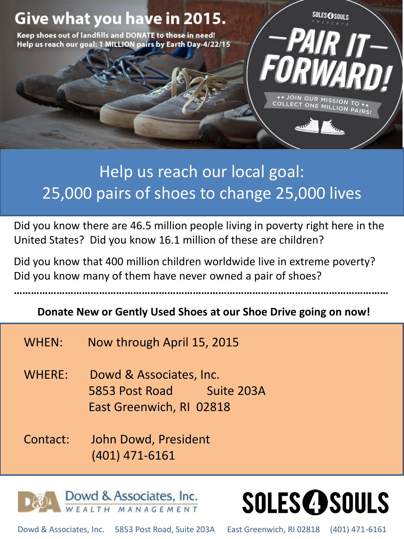

## Help us reach our local goal: 25,000 pairs of shoes to change 25,000 lives

Did you know there are 46.5 million people living in poverty right here in the United States? Did you know 16.1 million of these are children?

Did you know that 400 million children worldwide live in extreme poverty? Did you know many of them have never owned a pair of shoes?

**Donate New or Gently Used Shoes at our Shoe Drive going on now!**

**……………………………………………………………………………………………………………………**

- WHEN: Now through April 15, 2015
- WHERE: Dowd & Associates, Inc. 5853 Post Road Suite 203A East Greenwich, RI 02818
- Contact: John Dowd, President (401) 471-6161



**SOLES@SOULS** 

Dowd & Associates, Inc. 5853 Post Road, Suite 203A East Greenwich, RI 02818 (401) 471-6161